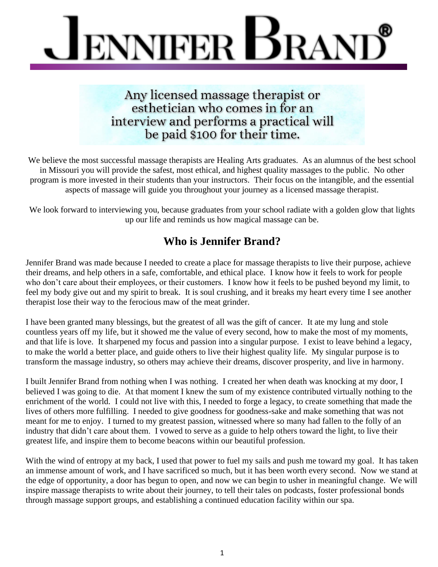

Any licensed massage therapist or esthetician who comes in for an interview and performs a practical will be paid \$100 for their time.

We believe the most successful massage therapists are Healing Arts graduates. As an alumnus of the best school in Missouri you will provide the safest, most ethical, and highest quality massages to the public. No other program is more invested in their students than your instructors. Their focus on the intangible, and the essential aspects of massage will guide you throughout your journey as a licensed massage therapist.

We look forward to interviewing you, because graduates from your school radiate with a golden glow that lights up our life and reminds us how magical massage can be.

## **Who is Jennifer Brand?**

Jennifer Brand was made because I needed to create a place for massage therapists to live their purpose, achieve their dreams, and help others in a safe, comfortable, and ethical place. I know how it feels to work for people who don't care about their employees, or their customers. I know how it feels to be pushed beyond my limit, to feel my body give out and my spirit to break. It is soul crushing, and it breaks my heart every time I see another therapist lose their way to the ferocious maw of the meat grinder.

I have been granted many blessings, but the greatest of all was the gift of cancer. It ate my lung and stole countless years off my life, but it showed me the value of every second, how to make the most of my moments, and that life is love. It sharpened my focus and passion into a singular purpose. I exist to leave behind a legacy, to make the world a better place, and guide others to live their highest quality life. My singular purpose is to transform the massage industry, so others may achieve their dreams, discover prosperity, and live in harmony.

I built Jennifer Brand from nothing when I was nothing. I created her when death was knocking at my door, I believed I was going to die. At that moment I knew the sum of my existence contributed virtually nothing to the enrichment of the world. I could not live with this, I needed to forge a legacy, to create something that made the lives of others more fulfilling. I needed to give goodness for goodness-sake and make something that was not meant for me to enjoy. I turned to my greatest passion, witnessed where so many had fallen to the folly of an industry that didn't care about them. I vowed to serve as a guide to help others toward the light, to live their greatest life, and inspire them to become beacons within our beautiful profession.

With the wind of entropy at my back, I used that power to fuel my sails and push me toward my goal. It has taken an immense amount of work, and I have sacrificed so much, but it has been worth every second. Now we stand at the edge of opportunity, a door has begun to open, and now we can begin to usher in meaningful change. We will inspire massage therapists to write about their journey, to tell their tales on podcasts, foster professional bonds through massage support groups, and establishing a continued education facility within our spa.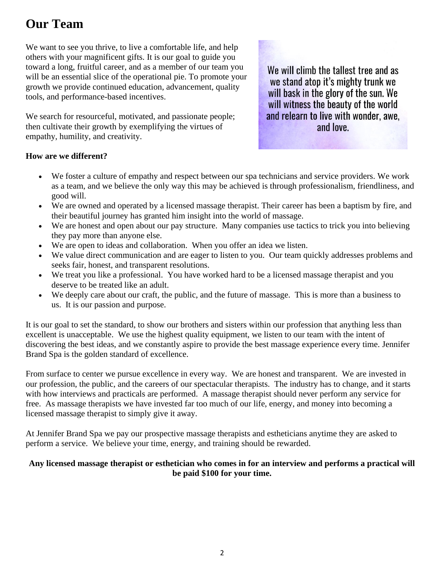# **Our Team**

We want to see you thrive, to live a comfortable life, and help others with your magnificent gifts. It is our goal to guide you toward a long, fruitful career, and as a member of our team you will be an essential slice of the operational pie. To promote your growth we provide continued education, advancement, quality tools, and performance-based incentives.

We search for resourceful, motivated, and passionate people; then cultivate their growth by exemplifying the virtues of empathy, humility, and creativity.

We will climb the tallest tree and as we stand atop it's mighty trunk we will bask in the glory of the sun. We will witness the beauty of the world and relearn to live with wonder, awe, and love.

### **How are we different?**

- We foster a culture of empathy and respect between our spa technicians and service providers. We work as a team, and we believe the only way this may be achieved is through professionalism, friendliness, and good will.
- We are owned and operated by a licensed massage therapist. Their career has been a baptism by fire, and their beautiful journey has granted him insight into the world of massage.
- We are honest and open about our pay structure. Many companies use tactics to trick you into believing they pay more than anyone else.
- We are open to ideas and collaboration. When you offer an idea we listen.
- We value direct communication and are eager to listen to you. Our team quickly addresses problems and seeks fair, honest, and transparent resolutions.
- We treat you like a professional. You have worked hard to be a licensed massage therapist and you deserve to be treated like an adult.
- We deeply care about our craft, the public, and the future of massage. This is more than a business to us. It is our passion and purpose.

It is our goal to set the standard, to show our brothers and sisters within our profession that anything less than excellent is unacceptable. We use the highest quality equipment, we listen to our team with the intent of discovering the best ideas, and we constantly aspire to provide the best massage experience every time. Jennifer Brand Spa is the golden standard of excellence.

From surface to center we pursue excellence in every way. We are honest and transparent. We are invested in our profession, the public, and the careers of our spectacular therapists. The industry has to change, and it starts with how interviews and practicals are performed. A massage therapist should never perform any service for free. As massage therapists we have invested far too much of our life, energy, and money into becoming a licensed massage therapist to simply give it away.

At Jennifer Brand Spa we pay our prospective massage therapists and estheticians anytime they are asked to perform a service. We believe your time, energy, and training should be rewarded.

#### **Any licensed massage therapist or esthetician who comes in for an interview and performs a practical will be paid \$100 for your time.**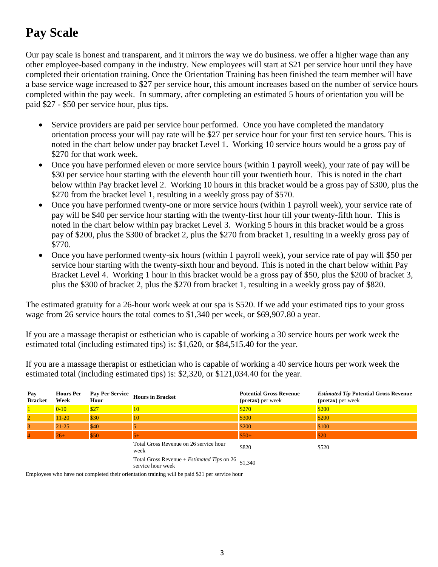# **Pay Scale**

Our pay scale is honest and transparent, and it mirrors the way we do business. we offer a higher wage than any other employee-based company in the industry. New employees will start at \$21 per service hour until they have completed their orientation training. Once the Orientation Training has been finished the team member will have a base service wage increased to \$27 per service hour, this amount increases based on the number of service hours completed within the pay week. In summary, after completing an estimated 5 hours of orientation you will be paid \$27 - \$50 per service hour, plus tips.

- Service providers are paid per service hour performed. Once you have completed the mandatory orientation process your will pay rate will be \$27 per service hour for your first ten service hours. This is noted in the chart below under pay bracket Level 1. Working 10 service hours would be a gross pay of \$270 for that work week.
- Once you have performed eleven or more service hours (within 1 payroll week), your rate of pay will be \$30 per service hour starting with the eleventh hour till your twentieth hour. This is noted in the chart below within Pay bracket level 2. Working 10 hours in this bracket would be a gross pay of \$300, plus the \$270 from the bracket level 1, resulting in a weekly gross pay of \$570.
- Once you have performed twenty-one or more service hours (within 1 payroll week), your service rate of pay will be \$40 per service hour starting with the twenty-first hour till your twenty-fifth hour. This is noted in the chart below within pay bracket Level 3. Working 5 hours in this bracket would be a gross pay of \$200, plus the \$300 of bracket 2, plus the \$270 from bracket 1, resulting in a weekly gross pay of \$770.
- Once you have performed twenty-six hours (within 1 payroll week), your service rate of pay will \$50 per service hour starting with the twenty-sixth hour and beyond. This is noted in the chart below within Pay Bracket Level 4. Working 1 hour in this bracket would be a gross pay of \$50, plus the \$200 of bracket 3, plus the \$300 of bracket 2, plus the \$270 from bracket 1, resulting in a weekly gross pay of \$820.

The estimated gratuity for a 26-hour work week at our spa is \$520. If we add your estimated tips to your gross wage from 26 service hours the total comes to \$1,340 per week, or \$69,907.80 a year.

If you are a massage therapist or esthetician who is capable of working a 30 service hours per work week the estimated total (including estimated tips) is: \$1,620, or \$84,515.40 for the year.

If you are a massage therapist or esthetician who is capable of working a 40 service hours per work week the estimated total (including estimated tips) is: \$2,320, or \$121,034.40 for the year.

| Pay<br><b>Bracket</b> | <b>Hours Per</b><br>Week | <b>Pay Per Service</b><br>Hour | <b>Hours in Bracket</b>                                                         | <b>Potential Gross Revenue</b><br>( <b>pretax</b> ) per week | <b>Estimated Tip Potential Gross Revenue</b><br>( <b>pretax</b> ) per week |
|-----------------------|--------------------------|--------------------------------|---------------------------------------------------------------------------------|--------------------------------------------------------------|----------------------------------------------------------------------------|
|                       | $0 - 10$                 | \$27                           | 10 <sup>2</sup>                                                                 | \$270                                                        | \$200                                                                      |
| $\overline{2}$        | $11 - 20$                | \$30                           | 10                                                                              | \$300                                                        | \$200                                                                      |
| 3                     | $21 - 25$                | \$40                           |                                                                                 | \$200                                                        | \$100                                                                      |
|                       | $26+$                    | \$50                           |                                                                                 | $$50+$                                                       | \$20                                                                       |
|                       |                          |                                | Total Gross Revenue on 26 service hour<br>week                                  | \$820                                                        | \$520                                                                      |
|                       |                          |                                | Total Gross Revenue + <i>Estimated Tips</i> on 26 $$1,340$<br>service hour week |                                                              |                                                                            |

Employees who have not completed their orientation training will be paid \$21 per service hour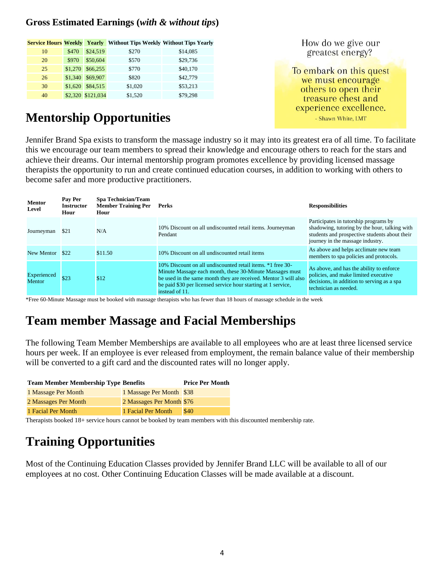## **Gross Estimated Earnings (***with & without tips***)**

|    |         |                   | <b>Service Hours Weekly Yearly Without Tips Weekly Without Tips Yearly</b> |          |
|----|---------|-------------------|----------------------------------------------------------------------------|----------|
| 10 | \$470   | \$24,519          | \$270                                                                      | \$14,085 |
| 20 | \$970   | \$50,604          | \$570                                                                      | \$29,736 |
| 25 | \$1,270 | \$66,255          | \$770                                                                      | \$40,170 |
| 26 | \$1,340 | \$69,907          | \$820                                                                      | \$42,779 |
| 30 | \$1,620 | \$84,515          | \$1,020                                                                    | \$53,213 |
| 40 |         | \$2,320 \$121,034 | \$1,520                                                                    | \$79,298 |

# **Mentorship Opportunities**

How do we give our greatest energy?

To embark on this quest we must encourage others to open their treasure chest and experience excellence. - Shawn White, LMT

Jennifer Brand Spa exists to transform the massage industry so it may into its greatest era of all time. To facilitate this we encourage our team members to spread their knowledge and encourage others to reach for the stars and achieve their dreams. Our internal mentorship program promotes excellence by providing licensed massage therapists the opportunity to run and create continued education courses, in addition to working with others to become safer and more productive practitioners.

| <b>Mentor</b><br>Level | Pay Per<br><b>Instructor</b><br>Hour | <b>Spa Technician/Team</b><br><b>Member Training Per</b><br>Hour | Perks                                                                                                                                                                                                                                                                        | <b>Responsibilities</b>                                                                                                                                                     |
|------------------------|--------------------------------------|------------------------------------------------------------------|------------------------------------------------------------------------------------------------------------------------------------------------------------------------------------------------------------------------------------------------------------------------------|-----------------------------------------------------------------------------------------------------------------------------------------------------------------------------|
| Journeyman             | \$21                                 | N/A                                                              | 10% Discount on all undiscounted retail items. Journeyman<br>Pendant                                                                                                                                                                                                         | Participates in tutorship programs by<br>shadowing, tutoring by the hour, talking with<br>students and prospective students about their<br>journey in the massage industry. |
| New Mentor             | \$22                                 | \$11.50                                                          | 10% Discount on all undiscounted retail items                                                                                                                                                                                                                                | As above and helps acclimate new team<br>members to spa policies and protocols.                                                                                             |
| Experienced<br>Mentor  | \$23                                 | \$12                                                             | 10% Discount on all undiscounted retail items. *1 free 30-<br>Minute Massage each month, these 30-Minute Massages must<br>be used in the same month they are received. Mentor 3 will also<br>be paid \$30 per licensed service hour starting at 1 service,<br>instead of 11. | As above, and has the ability to enforce<br>policies, and make limited executive<br>decisions, in addition to serving as a spa<br>technician as needed.                     |

\*Free 60-Minute Massage must be booked with massage therapists who has fewer than 18 hours of massage schedule in the week

## **Team member Massage and Facial Memberships**

The following Team Member Memberships are available to all employees who are at least three licensed service hours per week. If an employee is ever released from employment, the remain balance value of their membership will be converted to a gift card and the discounted rates will no longer apply.

| <b>Team Member Membership Type Benefits</b> | <b>Price Per Month</b>    |      |
|---------------------------------------------|---------------------------|------|
| 1 Massage Per Month                         | 1 Massage Per Month \$38  |      |
| 2 Massages Per Month                        | 2 Massages Per Month \$76 |      |
| 1 Facial Per Month                          | 1 Facial Per Month        | \$40 |

Therapists booked 18+ service hours cannot be booked by team members with this discounted membership rate.

# **Training Opportunities**

Most of the Continuing Education Classes provided by Jennifer Brand LLC will be available to all of our employees at no cost. Other Continuing Education Classes will be made available at a discount.